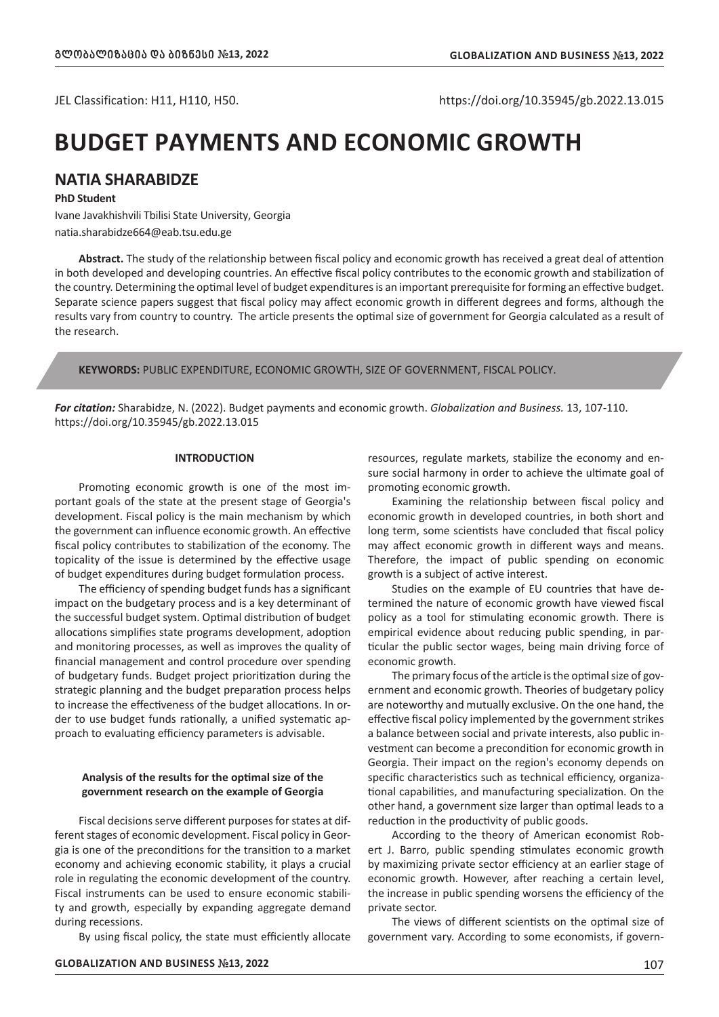JEL Classification: H11, H110, H50. https://doi.org/10.35945/gb.2022.13.015

# **BUDGET PAYMENTS AND ECONOMIC GROWTH**

# **NATIA SHARABIDZE**

#### **PhD Student**

Ivane Javakhishvili Tbilisi State University, Georgia natia.sharabidze664@eab.tsu.edu.ge

**Abstract.** The study of the relationship between fiscal policy and economic growth has received a great deal of attention in both developed and developing countries. An effective fiscal policy contributes to the economic growth and stabilization of the country. Determining the optimal level of budget expenditures is an important prerequisite for forming an effective budget. Separate science papers suggest that fiscal policy may affect economic growth in different degrees and forms, although the results vary from country to country. The article presents the optimal size of government for Georgia calculated as a result of the research.

**KEYWORDS:** PUBLIC EXPENDITURE, ECONOMIC GROWTH, SIZE OF GOVERNMENT, FISCAL POLICY.

*For citation:* Sharabidze, N. (2022). Budget payments and economic growth. *Globalization and Business.* 13, 107-110. https://doi.org/10.35945/gb.2022.13.015

# **INTRODUCTION**

Promoting economic growth is one of the most important goals of the state at the present stage of Georgia's development. Fiscal policy is the main mechanism by which the government can influence economic growth. An effective fiscal policy contributes to stabilization of the economy. The topicality of the issue is determined by the effective usage of budget expenditures during budget formulation process.

The efficiency of spending budget funds has a significant impact on the budgetary process and is a key determinant of the successful budget system. Optimal distribution of budget allocations simplifies state programs development, adoption and monitoring processes, as well as improves the quality of financial management and control procedure over spending of budgetary funds. Budget project prioritization during the strategic planning and the budget preparation process helps to increase the effectiveness of the budget allocations. In order to use budget funds rationally, a unified systematic approach to evaluating efficiency parameters is advisable.

#### **Analysis of the results for the optimal size of the government research on the example of Georgia**

Fiscal decisions serve different purposes for states at different stages of economic development. Fiscal policy in Georgia is one of the preconditions for the transition to a market economy and achieving economic stability, it plays a crucial role in regulating the economic development of the country. Fiscal instruments can be used to ensure economic stability and growth, especially by expanding aggregate demand during recessions.

By using fiscal policy, the state must efficiently allocate

economic growth in developed countries, in both short and long term, some scientists have concluded that fiscal policy may affect economic growth in different ways and means. Therefore, the impact of public spending on economic

promoting economic growth.

growth is a subject of active interest. Studies on the example of EU countries that have determined the nature of economic growth have viewed fiscal policy as a tool for stimulating economic growth. There is empirical evidence about reducing public spending, in particular the public sector wages, being main driving force of economic growth.

resources, regulate markets, stabilize the economy and ensure social harmony in order to achieve the ultimate goal of

Examining the relationship between fiscal policy and

The primary focus of the article is the optimal size of government and economic growth. Theories of budgetary policy are noteworthy and mutually exclusive. On the one hand, the effective fiscal policy implemented by the government strikes a balance between social and private interests, also public investment can become a precondition for economic growth in Georgia. Their impact on the region's economy depends on specific characteristics such as technical efficiency, organizational capabilities, and manufacturing specialization. On the other hand, a government size larger than optimal leads to a reduction in the productivity of public goods.

According to the theory of American economist Robert J. Barro, public spending stimulates economic growth by maximizing private sector efficiency at an earlier stage of economic growth. However, after reaching a certain level, the increase in public spending worsens the efficiency of the private sector.

The views of different scientists on the optimal size of government vary. According to some economists, if govern-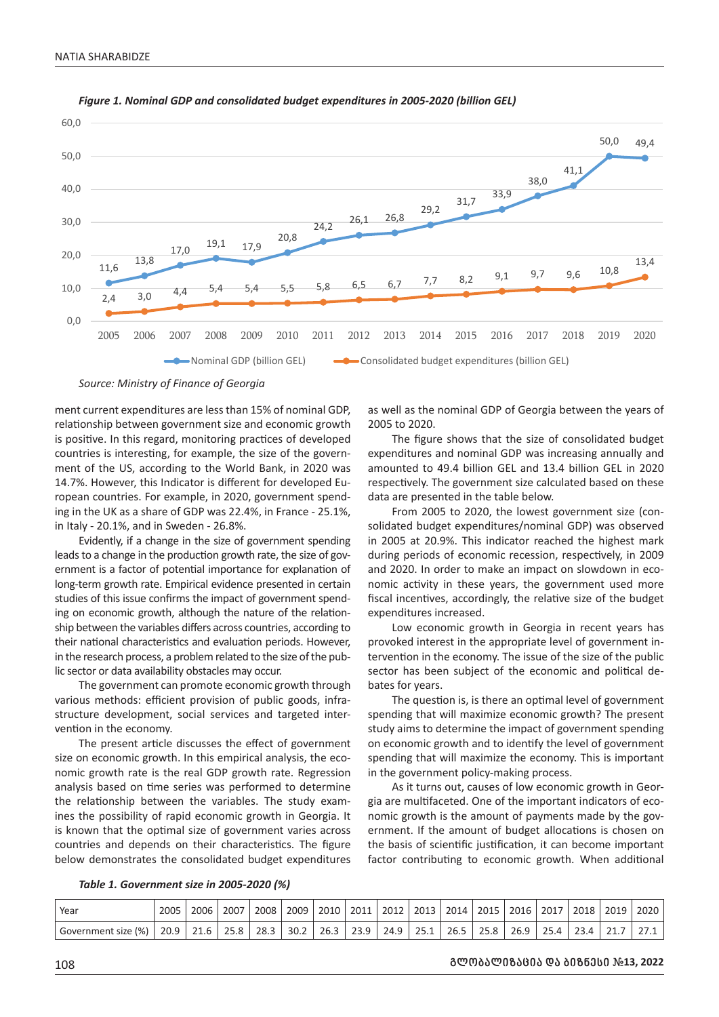

#### *Figure 1. Nominal GDP and consolidated budget expenditures in 2005-2020 (billion GEL)*

*Source: Ministry of Finance of Georgia*

ment current expenditures are less than 15% of nominal GDP, relationship between government size and economic growth is positive. In this regard, monitoring practices of developed countries is interesting, for example, the size of the government of the US, according to the World Bank, in 2020 was 14.7%. However, this Indicator is different for developed European countries. For example, in 2020, government spending in the UK as a share of GDP was 22.4%, in France - 25.1%, in Italy - 20.1%, and in Sweden - 26.8%.

Evidently, if a change in the size of government spending leads to a change in the production growth rate, the size of government is a factor of potential importance for explanation of long-term growth rate. Empirical evidence presented in certain studies of this issue confirms the impact of government spending on economic growth, although the nature of the relationship between the variables differs across countries, according to their national characteristics and evaluation periods. However, in the research process, a problem related to the size of the public sector or data availability obstacles may occur.

The government can promote economic growth through various methods: efficient provision of public goods, infrastructure development, social services and targeted intervention in the economy.

The present article discusses the effect of government size on economic growth. In this empirical analysis, the economic growth rate is the real GDP growth rate. Regression analysis based on time series was performed to determine the relationship between the variables. The study examines the possibility of rapid economic growth in Georgia. It is known that the optimal size of government varies across countries and depends on their characteristics. The figure below demonstrates the consolidated budget expenditures as well as the nominal GDP of Georgia between the years of 2005 to 2020.

The figure shows that the size of consolidated budget expenditures and nominal GDP was increasing annually and amounted to 49.4 billion GEL and 13.4 billion GEL in 2020 respectively. The government size calculated based on these data are presented in the table below.

From 2005 to 2020, the lowest government size (consolidated budget expenditures/nominal GDP) was observed in 2005 at 20.9%. This indicator reached the highest mark during periods of economic recession, respectively, in 2009 and 2020. In order to make an impact on slowdown in economic activity in these years, the government used more fiscal incentives, accordingly, the relative size of the budget expenditures increased.

Low economic growth in Georgia in recent years has provoked interest in the appropriate level of government intervention in the economy. The issue of the size of the public sector has been subject of the economic and political debates for years.

The question is, is there an optimal level of government spending that will maximize economic growth? The present study aims to determine the impact of government spending on economic growth and to identify the level of government spending that will maximize the economy. This is important in the government policy-making process.

As it turns out, causes of low economic growth in Georgia are multifaceted. One of the important indicators of economic growth is the amount of payments made by the government. If the amount of budget allocations is chosen on the basis of scientific justification, it can become important factor contributing to economic growth. When additional

*Table 1. Government size in 2005-2020 (%)*

| Year                | 2005 | 2006 | 2007 | 2008 | 2009 | 2010 | 2011 | 2012 | 2013 | 2014 | 2015 | 2016 | 2017 | 2018 | 2019     | 2020 |
|---------------------|------|------|------|------|------|------|------|------|------|------|------|------|------|------|----------|------|
| Government size (%) | 20.9 | 21.6 | 25.8 | 28.3 | 30.2 | 26.3 | 23.9 | 24.9 | 25.1 | 26.5 | 25.8 | 26.9 | 25 A | 23.4 | <u>.</u> |      |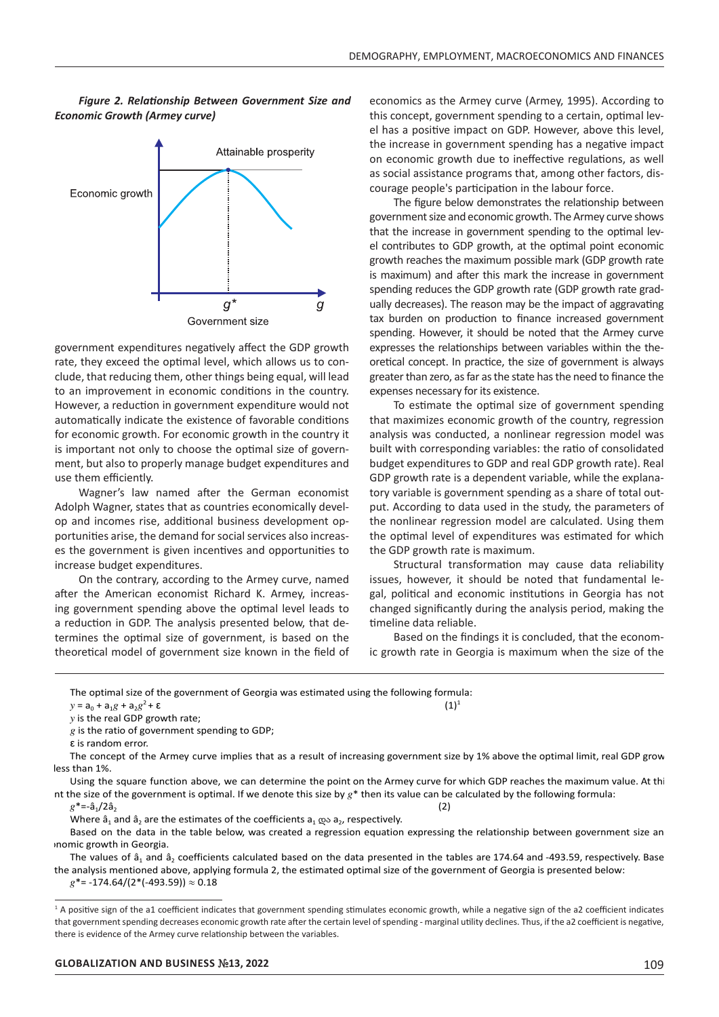*Figure 2. Relationship Between Government Size and Economic Growth (Armey curve)*



government expenditures negatively affect the GDP growth rate, they exceed the optimal level, which allows us to conclude, that reducing them, other things being equal, will lead to an improvement in economic conditions in the country. However, a reduction in government expenditure would not automatically indicate the existence of favorable conditions for economic growth. For economic growth in the country it is important not only to choose the optimal size of government, but also to properly manage budget expenditures and use them efficiently.

Wagner's law named after the German economist Adolph Wagner, states that as countries economically develop and incomes rise, additional business development opportunities arise, the demand for social services also increases the government is given incentives and opportunities to increase budget expenditures.

On the contrary, according to the Armey curve, named after the American economist Richard K. Armey, increasing government spending above the optimal level leads to a reduction in GDP. The analysis presented below, that determines the optimal size of government, is based on the theoretical model of government size known in the field of

economics as the Armey curve (Armey, 1995). According to this concept, government spending to a certain, optimal level has a positive impact on GDP. However, above this level, the increase in government spending has a negative impact on economic growth due to ineffective regulations, as well as social assistance programs that, among other factors, discourage people's participation in the labour force.

The figure below demonstrates the relationship between government size and economic growth. The Armey curve shows that the increase in government spending to the optimal level contributes to GDP growth, at the optimal point economic growth reaches the maximum possible mark (GDP growth rate is maximum) and after this mark the increase in government spending reduces the GDP growth rate (GDP growth rate gradually decreases). The reason may be the impact of aggravating tax burden on production to finance increased government spending. However, it should be noted that the Armey curve expresses the relationships between variables within the theoretical concept. In practice, the size of government is always greater than zero, as far as the state has the need to finance the expenses necessary for its existence.

To estimate the optimal size of government spending that maximizes economic growth of the country, regression analysis was conducted, a nonlinear regression model was built with corresponding variables: the ratio of consolidated budget expenditures to GDP and real GDP growth rate). Real GDP growth rate is a dependent variable, while the explanatory variable is government spending as a share of total output. According to data used in the study, the parameters of the nonlinear regression model are calculated. Using them the optimal level of expenditures was estimated for which the GDP growth rate is maximum.

Structural transformation may cause data reliability issues, however, it should be noted that fundamental legal, political and economic institutions in Georgia has not changed significantly during the analysis period, making the timeline data reliable.

Based on the findings it is concluded, that the economic growth rate in Georgia is maximum when the size of the

The optimal size of the government of Georgia was estimated using the following formula:  $(1)^{1}$ 

 $y = a_0 + a_1 g + a_2 g^2 + \varepsilon$ 

 $y$  is the real GDP growth rate;

 $g$  is the ratio of government spending to GDP;

ε is random error.

The concept of the Armey curve implies that as a result of increasing government size by 1% above the optimal limit, real GDP grow less than 1%.

Using the square function above, we can determine the point on the Armey curve for which GDP reaches the maximum value. At this nt the size of the government is optimal. If we denote this size by  $g^*$  then its value can be calculated by the following formula:<br> $g^*=-\hat{a}_1/2\hat{a}_2$  (2)

 $g^* = -\hat{a}_1/2\hat{a}_2$  (2)

Where  $\hat{a}_1$  and  $\hat{a}_2$  are the estimates of the coefficients  $a_1$   $\infty$  a<sub>2</sub>, respectively.

Based on the data in the table below, was created a regression equation expressing the relationship between government size an economic growth in Georgia.

The values of  $\hat{a}_1$  and  $\hat{a}_2$  coefficients calculated based on the data presented in the tables are 174.64 and -493.59, respectively. Base the analysis mentioned above, applying formula 2, the estimated optimal size of the government of Georgia is presented below:  $g^*$ = -174.64/(2\*(-493.59))  $\approx$  0.18

<sup>&</sup>lt;sup>1</sup> A positive sign of the a1 coefficient indicates that government spending stimulates economic growth, while a negative sign of the a2 coefficient indicates that government spending decreases economic growth rate after the certain level of spending - marginal utility declines. Thus, if the a2 coefficient is negative, there is evidence of the Armey curve relationship between the variables.